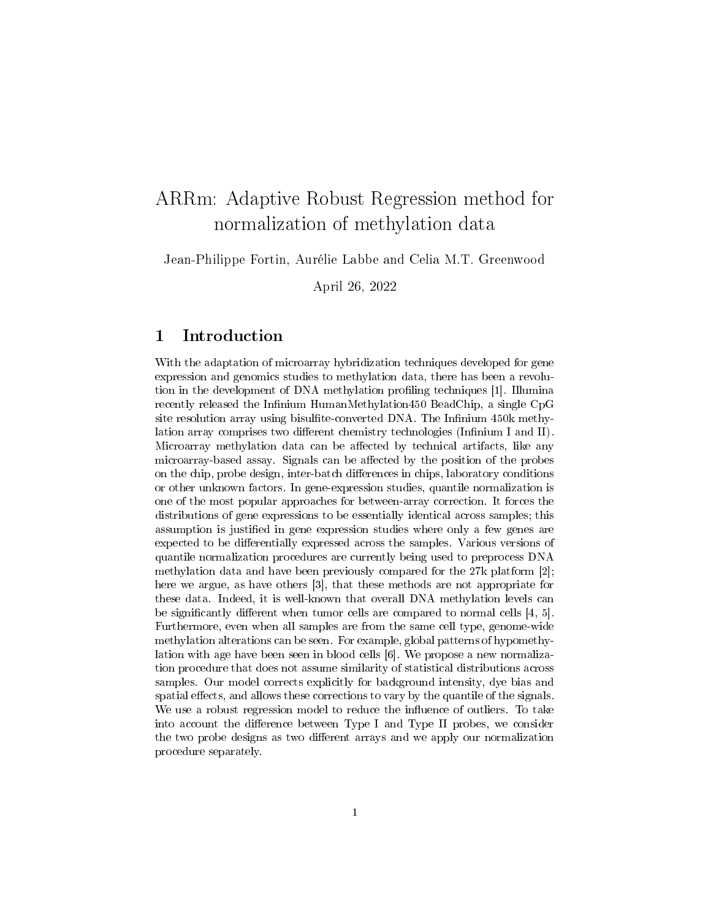# ARRm: Adaptive Robust Regression method for normalization of methylation data

Jean-Philippe Fortin, Aurélie Labbe and Celia M.T. Greenwood

April 26, 2022

# 1 Introduction

With the adaptation of microarray hybridization techniques developed for gene expression and genomics studies to methylation data, there has been a revolution in the development of DNA methylation profiling techniques [1]. Illumina recently released the Infinium HumanMethylation450 BeadChip, a single CpG site resolution array using bisulfite-converted DNA. The Infinium 450k methylation array comprises two different chemistry technologies (Infinium I and II). Microarray methylation data can be affected by technical artifacts, like any microarray-based assay. Signals can be affected by the position of the probes on the chip, probe design, inter-batch differences in chips, laboratory conditions or other unknown factors. In gene-expression studies, quantile normalization is one of the most popular approaches for between-array correction. It forces the distributions of gene expressions to be essentially identical across samples; this assumption is justified in gene expression studies where only a few genes are expected to be differentially expressed across the samples. Various versions of quantile normalization procedures are currently being used to preprocess DNA methylation data and have been previously compared for the 27k platform [2]; here we argue, as have others [3], that these methods are not appropriate for these data. Indeed, it is well-known that overall DNA methylation levels can be significantly different when tumor cells are compared to normal cells  $[4, 5]$ . Furthermore, even when all samples are from the same cell type, genome-wide methylation alterations can be seen. For example, global patterns of hypomethylation with age have been seen in blood cells [6]. We propose a new normalization procedure that does not assume similarity of statistical distributions across samples. Our model corrects explicitly for background intensity, dye bias and spatial effects, and allows these corrections to vary by the quantile of the signals. We use a robust regression model to reduce the influence of outliers. To take into account the difference between Type I and Type II probes, we consider the two probe designs as two different arrays and we apply our normalization procedure separately.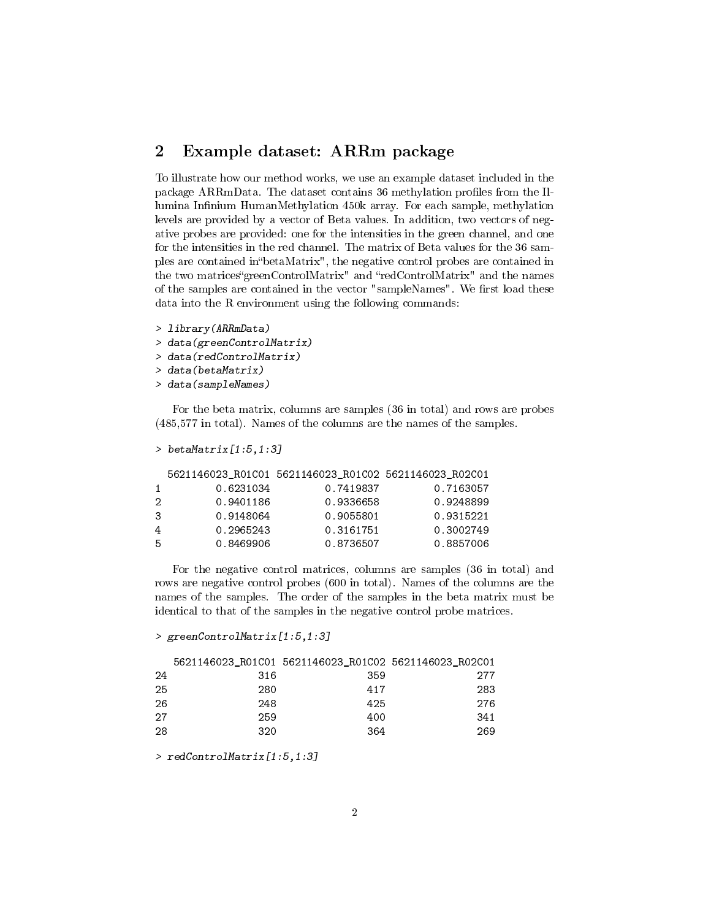### 2 Example dataset: ARRm package

To illustrate how our method works, we use an example dataset included in the package ARRmData. The dataset contains 36 methylation profiles from the Illumina Infinium HumanMethylation 450k array. For each sample, methylation levels are provided by a vector of Beta values. In addition, two vectors of negative probes are provided: one for the intensities in the green channel, and one for the intensities in the red channel. The matrix of Beta values for the 36 samples are contained in"betaMatrix", the negative control probes are contained in the two matrices "greenControlMatrix" and "redControlMatrix" and the names of the samples are contained in the vector "sampleNames". We first load these data into the R environment using the following commands:

> library(ARRmData)

> data(greenControlMatrix)

```
> data(redControlMatrix)
```
> data(betaMatrix)

> data(sampleNames)

For the beta matrix, columns are samples (36 in total) and rows are probes (485,577 in total). Names of the columns are the names of the samples.

```
> betaMatrix[1:5, 1:3]
```

|              |           | 5621146023 R01C01 5621146023 R01C02 5621146023 R02C01 |           |
|--------------|-----------|-------------------------------------------------------|-----------|
| $\mathbf{1}$ | 0.6231034 | 0.7419837                                             | 0.7163057 |
| 2            | 0.9401186 | 0.9336658                                             | 0.9248899 |
| 3            | 0.9148064 | 0.9055801                                             | 0.9315221 |
| 4            | 0.2965243 | 0.3161751                                             | 0.3002749 |
| -5           | 0.8469906 | 0.8736507                                             | 0.8857006 |

For the negative control matrices, columns are samples (36 in total) and rows are negative control probes (600 in total). Names of the columns are the names of the samples. The order of the samples in the beta matrix must be identical to that of the samples in the negative control probe matrices.

```
> greenControlMatrix[1:5,1:3]
```

|    |     | 5621146023 R01C01 5621146023 R01C02 5621146023 R02C01 |     |
|----|-----|-------------------------------------------------------|-----|
| 24 | 316 | 359                                                   | 277 |
| 25 | 280 | 417                                                   | 283 |
| 26 | 248 | 425                                                   | 276 |
| 27 | 259 | 400                                                   | 341 |
| 28 | 320 | 364                                                   | 269 |

> redControlMatrix[1:5,1:3]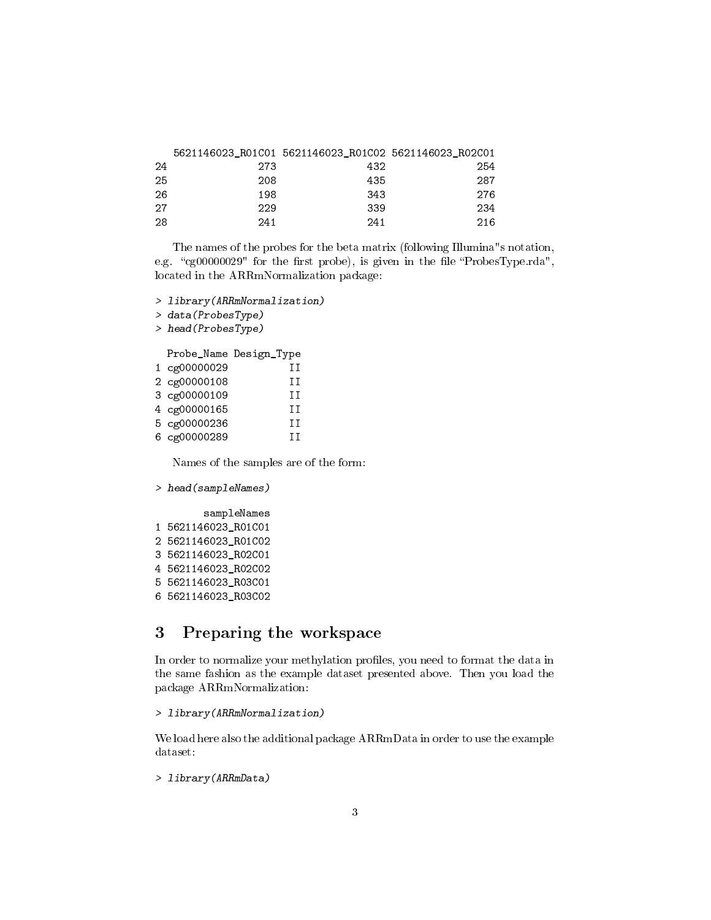|    |     | 5621146023 R01C01 5621146023 R01C02 5621146023 R02C01 |     |
|----|-----|-------------------------------------------------------|-----|
| 24 | 273 | 432                                                   | 254 |
| 25 | 208 | 435                                                   | 287 |
| 26 | 198 | 343                                                   | 276 |
| 27 | 229 | 339                                                   | 234 |
| 28 | 241 | 241                                                   | 216 |

The names of the probes for the beta matrix (following Illumina"s notation, e.g. "cg00000029" for the first probe), is given in the file "ProbesType.rda", located in the ARRmNormalization package:

```
> library(ARRmNormalization)
```
> data(ProbesType)

> head(ProbesType)

Probe\_Name Design\_Type 1 cg00000029 II 2 cg00000108 II 3 cg00000109 II 4 cg00000165 II 5 cg00000236 II 6 cg00000289 II

Names of the samples are of the form:

```
> head(sampleNames)
```
sampleNames 1 5621146023\_R01C01 2 5621146023\_R01C02 3 5621146023\_R02C01 4 5621146023\_R02C02 5 5621146023\_R03C01 6 5621146023\_R03C02

# 3 Preparing the workspace

In order to normalize your methylation profiles, you need to format the data in the same fashion as the example dataset presented above. Then you load the package ARRmNormalization:

```
> library(ARRmNormalization)
```
We load here also the additional package ARRmData in order to use the example dataset:

```
> library(ARRmData)
```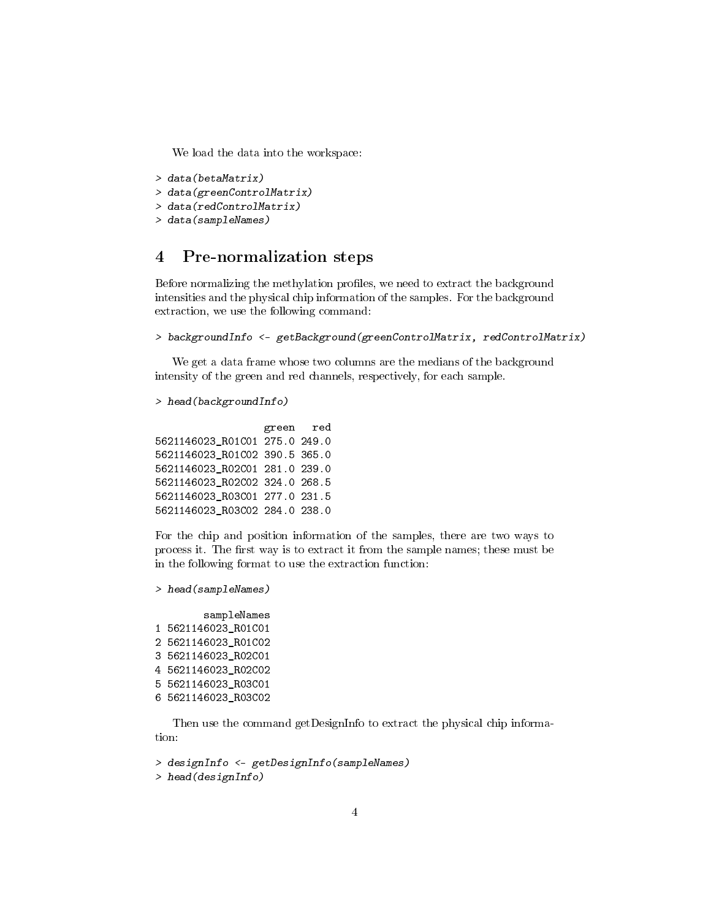We load the data into the workspace:

```
> data(betaMatrix)
```
> data(greenControlMatrix)

```
> data(redControlMatrix)
```
# > data(sampleNames)

# 4 Pre-normalization steps

Before normalizing the methylation profiles, we need to extract the background intensities and the physical chip information of the samples. For the background extraction, we use the following command:

```
> backgroundInfo <- getBackground(greenControlMatrix, redControlMatrix)
```
We get a data frame whose two columns are the medians of the background intensity of the green and red channels, respectively, for each sample.

```
> head(backgroundInfo)
```

```
green red
5621146023_R01C01 275.0 249.0
5621146023_R01C02 390.5 365.0
5621146023_R02C01 281.0 239.0
5621146023_R02C02 324.0 268.5
5621146023_R03C01 277.0 231.5
5621146023_R03C02 284.0 238.0
```
For the chip and position information of the samples, there are two ways to process it. The first way is to extract it from the sample names; these must be in the following format to use the extraction function:

```
> head(sampleNames)
```
#### sampleNames 1 5621146023\_R01C01 2 5621146023\_R01C02 3 5621146023\_R02C01 4 5621146023\_R02C02 5 5621146023\_R03C01 6 5621146023\_R03C02

Then use the command getDesignInfo to extract the physical chip information:

```
> designInfo <- getDesignInfo(sampleNames)
> head(designInfo)
```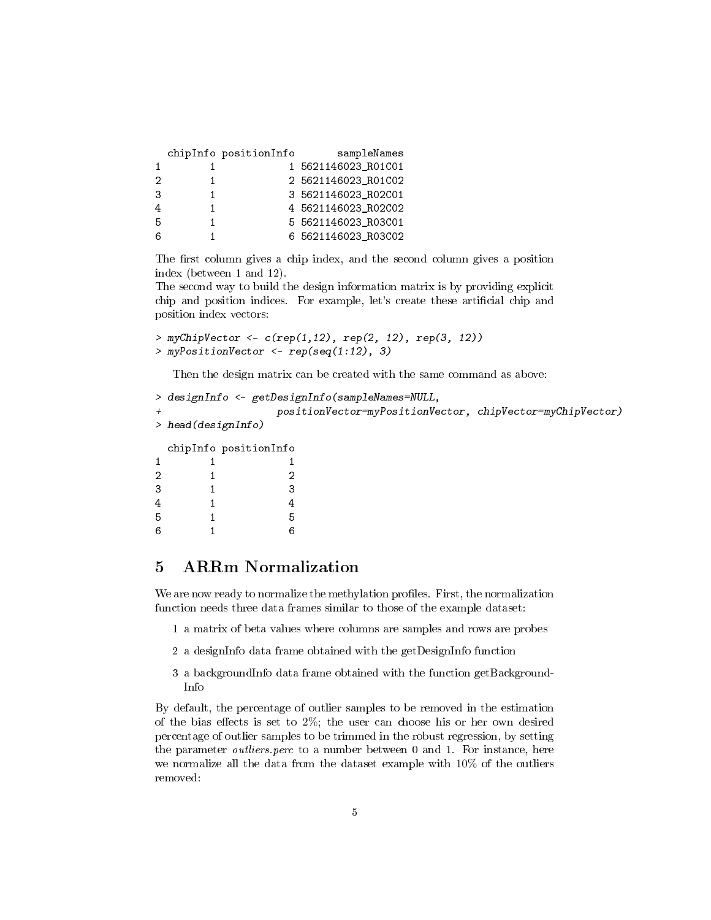|    | chipInfo positionInfo | sampleNames         |
|----|-----------------------|---------------------|
|    |                       | 1 5621146023_R01C01 |
| 2  |                       | 2 5621146023 R01C02 |
| 3  |                       | 3 5621146023 R02C01 |
|    |                       | 4 5621146023 R02C02 |
| -5 |                       | 5 5621146023 R03C01 |
| 6  |                       | 6 5621146023 R03C02 |

The first column gives a chip index, and the second column gives a position index (between 1 and 12).

The second way to build the design information matrix is by providing explicit chip and position indices. For example, let's create these artificial chip and position index vectors:

```
> myChipVector <- c(rep(1,12), rep(2, 12), rep(3, 12))
> myPositionVector <- rep(seq(1:12), 3)
```
Then the design matrix can be created with the same command as above:

```
> designInfo <- getDesignInfo(sampleNames=NULL,
             + positionVector=myPositionVector, chipVector=myChipVector)
> head(designInfo)
 chipInfo positionInfo
1 1 1 1
2 1 2
3 1 3
4 1 4
5 1 5
6 1 6
```
# 5 ARRm Normalization

We are now ready to normalize the methylation profiles. First, the normalization function needs three data frames similar to those of the example dataset:

- 1 a matrix of beta values where columns are samples and rows are probes
- 2 a designInfo data frame obtained with the getDesignInfo function
- 3 a backgroundInfo data frame obtained with the function getBackground-Info

By default, the percentage of outlier samples to be removed in the estimation of the bias effects is set to  $2\%$ ; the user can choose his or her own desired percentage of outlier samples to be trimmed in the robust regression, by setting the parameter outliers.perc to a number between 0 and 1. For instance, here we normalize all the data from the dataset example with 10% of the outliers removed: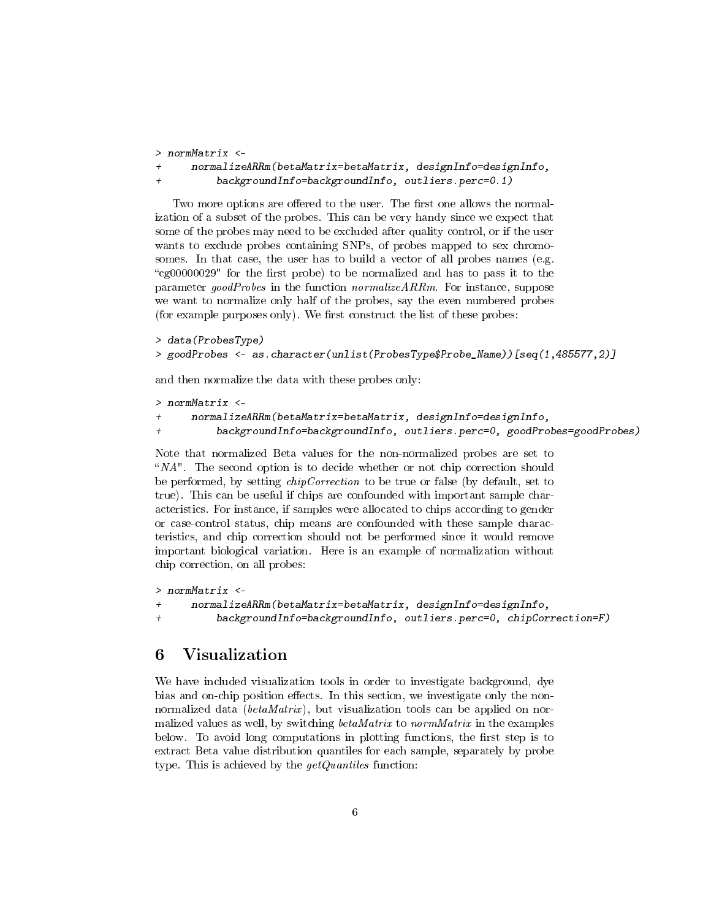```
> normMatrix <-
+ normalizeARRm(betaMatrix=betaMatrix, designInfo=designInfo,
         backgroundInfo=backgroundInfo, outliers.perc=0.1)
```
Two more options are offered to the user. The first one allows the normalization of a subset of the probes. This can be very handy since we expect that some of the probes may need to be excluded after quality control, or if the user wants to exclude probes containing SNPs, of probes mapped to sex chromosomes. In that case, the user has to build a vector of all probes names (e.g. "cg00000029" for the first probe) to be normalized and has to pass it to the parameter goodProbes in the function normalizeARRm. For instance, suppose we want to normalize only half of the probes, say the even numbered probes (for example purposes only). We first construct the list of these probes:

```
> data(ProbesType)
> goodProbes <- as.character(unlist(ProbesType$Probe_Name))[seq(1,485577,2)]
```
and then normalize the data with these probes only:

```
> normMatrix <-
+ normalizeARRm(betaMatrix=betaMatrix, designInfo=designInfo,
+ backgroundInfo=backgroundInfo, outliers.perc=0, goodProbes=goodProbes)
```
Note that normalized Beta values for the non-normalized probes are set to " $NA$ ". The second option is to decide whether or not chip correction should be performed, by setting *chipCorrection* to be true or false (by default, set to true). This can be useful if chips are confounded with important sample characteristics. For instance, if samples were allocated to chips according to gender or case-control status, chip means are confounded with these sample characteristics, and chip correction should not be performed since it would remove important biological variation. Here is an example of normalization without chip correction, on all probes:

```
> normMatrix <-
+ normalizeARRm(betaMatrix=betaMatrix, designInfo=designInfo,
+ backgroundInfo=backgroundInfo, outliers.perc=0, chipCorrection=F)
```
# 6 Visualization

We have included visualization tools in order to investigate background, dye bias and on-chip position effects. In this section, we investigate only the nonnormalized data ( $betaMatrix$ ), but visualization tools can be applied on normalized values as well, by switching betaMatrix to normMatrix in the examples below. To avoid long computations in plotting functions, the first step is to extract Beta value distribution quantiles for each sample, separately by probe type. This is achieved by the  $getQuantiles$  function: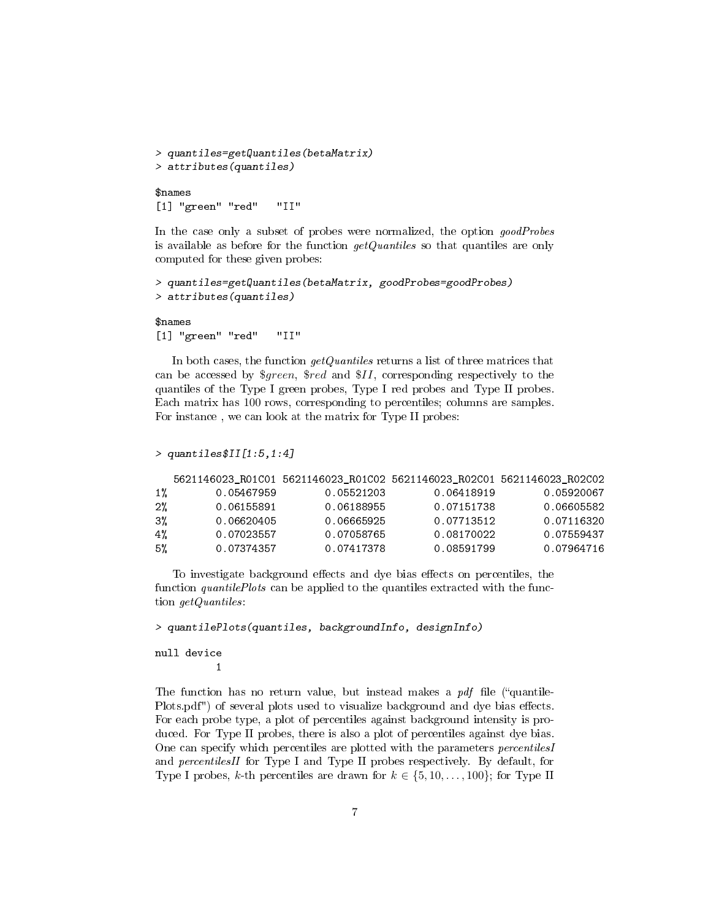```
> quantiles=getQuantiles(betaMatrix)
> attributes(quantiles)
$names
[1] "green" "red" "II"
```
In the case only a subset of probes were normalized, the option goodProbes is available as before for the function  $getQuantiles$  so that quantiles are only computed for these given probes:

```
> quantiles=getQuantiles(betaMatrix, goodProbes=goodProbes)
> attributes(quantiles)
```
\$names [1] "green" "red" "II"

In both cases, the function  $getQuantiles$  returns a list of three matrices that can be accessed by \$green, \$red and \$II, corresponding respectively to the quantiles of the Type I green probes, Type I red probes and Type II probes. Each matrix has 100 rows, corresponding to percentiles; columns are samples. For instance , we can look at the matrix for Type II probes:

```
> quantiles$II[1:5,1:4]
```

|       |            |            | 5621146023 R01C01 5621146023 R01C02 5621146023 R02C01 5621146023 R02C02 |            |
|-------|------------|------------|-------------------------------------------------------------------------|------------|
| $1\%$ | 0.05467959 | 0.05521203 | 0.06418919                                                              | 0.05920067 |
| $2\%$ | 0.06155891 | 0.06188955 | 0.07151738                                                              | 0.06605582 |
| $3\%$ | 0.06620405 | 0.06665925 | 0.07713512                                                              | 0.07116320 |
| 4%    | 0.07023557 | 0.07058765 | 0.08170022                                                              | 0.07559437 |
| 5%    | 0.07374357 | 0.07417378 | 0.08591799                                                              | 0.07964716 |

To investigate background effects and dye bias effects on percentiles, the function *quantilePlots* can be applied to the quantiles extracted with the function getQuantiles:

> quantilePlots(quantiles, backgroundInfo, designInfo)

null device 1

The function has no return value, but instead makes a  $pdf$  file ("quantile-Plots.pdf") of several plots used to visualize background and dye bias effects. For each probe type, a plot of percentiles against background intensity is produced. For Type II probes, there is also a plot of percentiles against dye bias. One can specify which percentiles are plotted with the parameters percentilesI and percentilesII for Type I and Type II probes respectively. By default, for Type I probes, k-th percentiles are drawn for  $k \in \{5, 10, \ldots, 100\}$ ; for Type II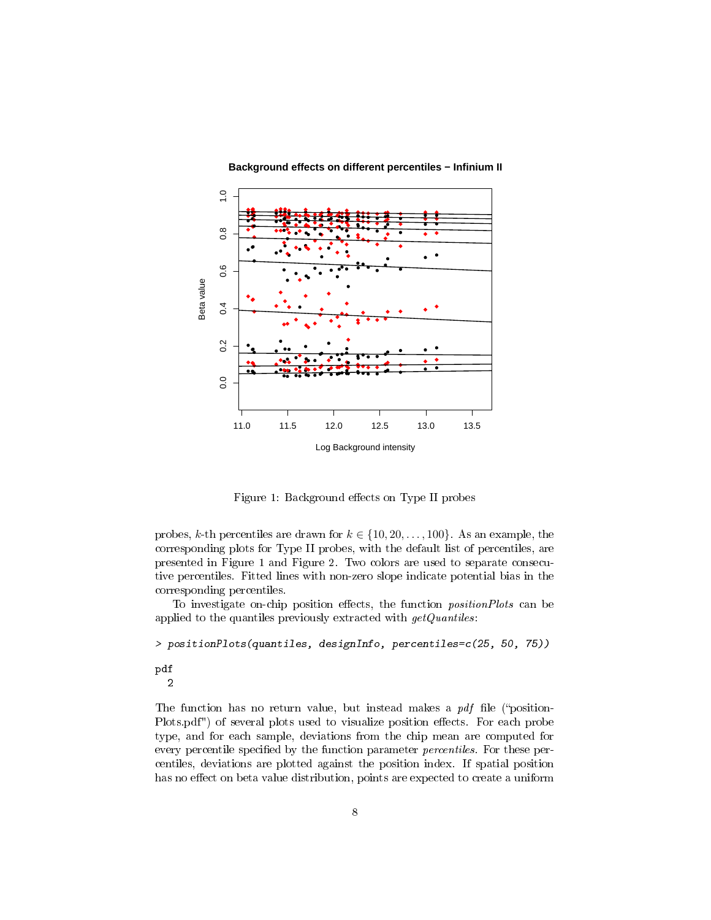

**Background effects on different percentiles − Infinium II**

Figure 1: Background effects on Type II probes

probes, k-th percentiles are drawn for  $k \in \{10, 20, \ldots, 100\}$ . As an example, the corresponding plots for Type II probes, with the default list of percentiles, are presented in Figure 1 and Figure 2. Two colors are used to separate consecutive percentiles. Fitted lines with non-zero slope indicate potential bias in the corresponding percentiles.

To investigate on-chip position effects, the function *positionPlots* can be applied to the quantiles previously extracted with  $getQuantiles$ :

> positionPlots(quantiles, designInfo, percentiles=c(25, 50, 75)) pdf 2

The function has no return value, but instead makes a  $pdf$  file ("position-Plots.pdf") of several plots used to visualize position effects. For each probe type, and for each sample, deviations from the chip mean are computed for every percentile specified by the function parameter *percentiles*. For these percentiles, deviations are plotted against the position index. If spatial position has no effect on beta value distribution, points are expected to create a uniform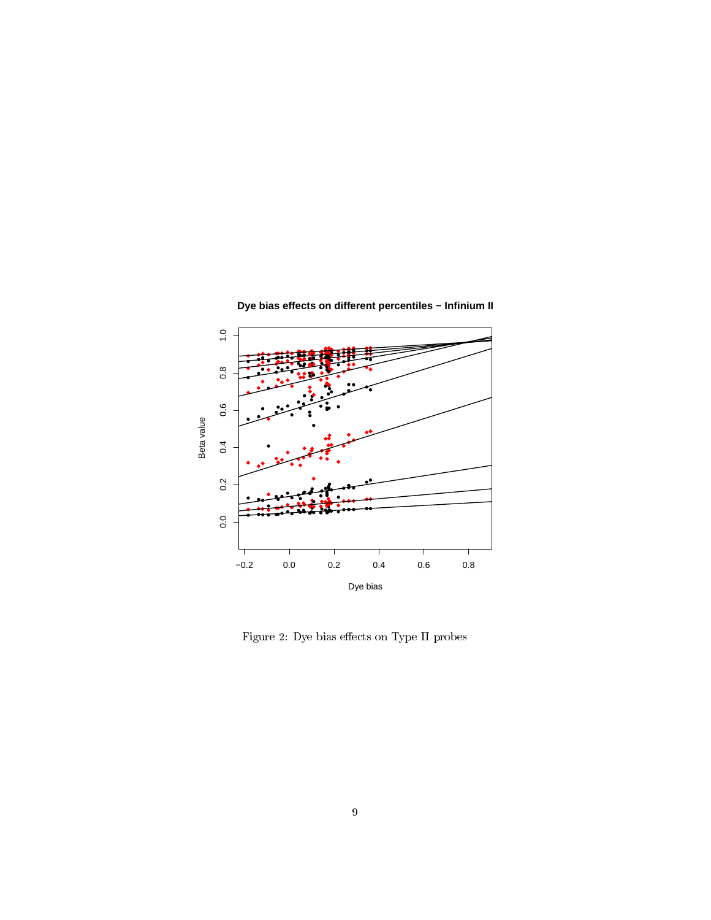

**Dye bias effects on different percentiles − Infinium II**

Figure 2: Dye bias effects on Type II probes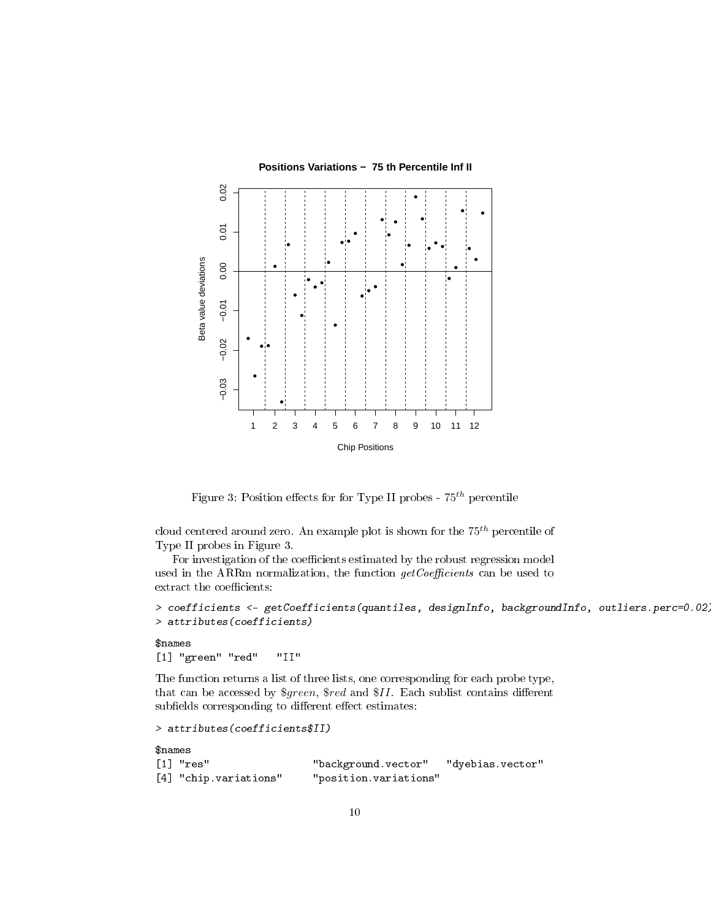

**Positions Variations − 75 th Percentile Inf II**

Figure 3: Position effects for for Type II probes -  $75^{th}$  percentile

cloud centered around zero. An example plot is shown for the  $75<sup>th</sup>$  percentile of Type II probes in Figure 3.

For investigation of the coefficients estimated by the robust regression model used in the ARRm normalization, the function  $getCoefficients$  can be used to extract the coefficients:

```
> coefficients <- getCoefficients(quantiles, designInfo, backgroundInfo, outliers.perc=0.02)
> attributes(coefficients)
```
#### \$names

[1] "green" "red" "II"

The function returns a list of three lists, one corresponding for each probe type, that can be accessed by  $\text{\$green}, \text{\$red}$  and  $\text{\$II}.$  Each sublist contains different subfields corresponding to different effect estimates:

```
> attributes(coefficients$II)
```

```
$names
[1] "res" "background.vector" "dyebias.vector"
[4] "chip.variations" "position.variations"
```